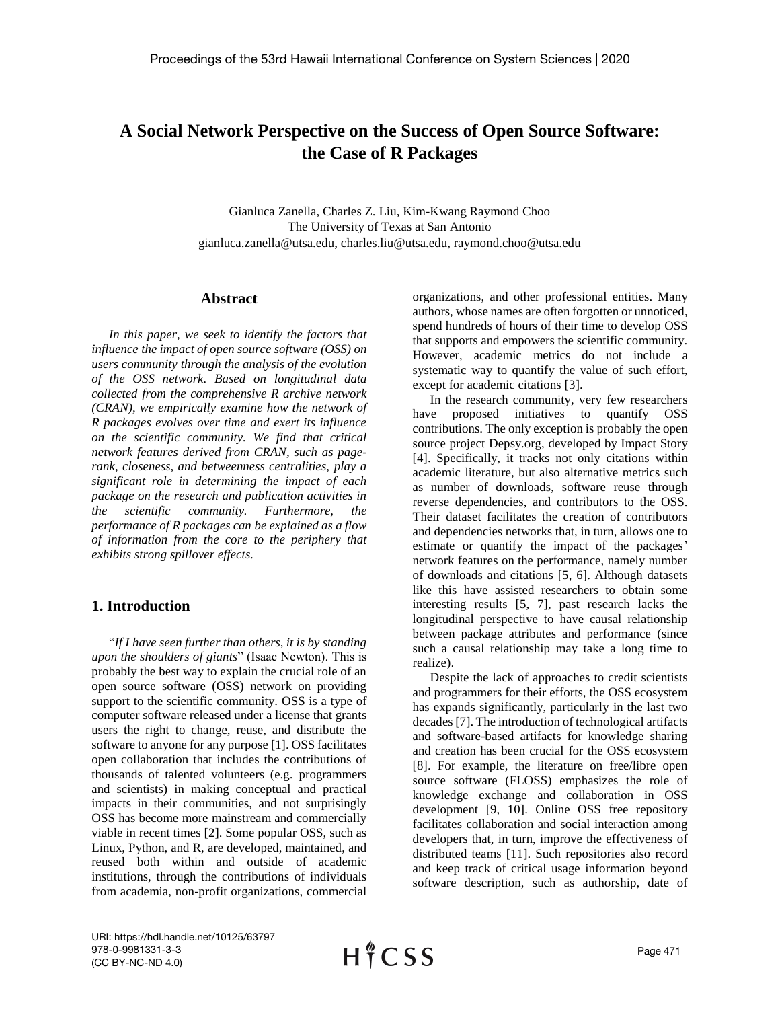# **A Social Network Perspective on the Success of Open Source Software: the Case of R Packages**

Gianluca Zanella, Charles Z. Liu, Kim-Kwang Raymond Choo The University of Texas at San Antonio gianluca.zanella@utsa.edu, charles.liu@utsa.edu, raymond.choo@utsa.edu

#### **Abstract**

*In this paper, we seek to identify the factors that influence the impact of open source software (OSS) on users community through the analysis of the evolution of the OSS network. Based on longitudinal data collected from the comprehensive R archive network (CRAN), we empirically examine how the network of R packages evolves over time and exert its influence on the scientific community. We find that critical network features derived from CRAN, such as pagerank, closeness, and betweenness centralities, play a significant role in determining the impact of each package on the research and publication activities in the scientific community. Furthermore, the performance of R packages can be explained as a flow of information from the core to the periphery that exhibits strong spillover effects.*

### **1. Introduction**

"*If I have seen further than others, it is by standing upon the shoulders of giants*" (Isaac Newton). This is probably the best way to explain the crucial role of an open source software (OSS) network on providing support to the scientific community. OSS is a type of computer software released under a license that grants users the right to change, reuse, and distribute the software to anyone for any purpose [1]. OSS facilitates open collaboration that includes the contributions of thousands of talented volunteers (e.g. programmers and scientists) in making conceptual and practical impacts in their communities, and not surprisingly OSS has become more mainstream and commercially viable in recent times [2]. Some popular OSS, such as Linux, Python, and R, are developed, maintained, and reused both within and outside of academic institutions, through the contributions of individuals from academia, non-profit organizations, commercial organizations, and other professional entities. Many authors, whose names are often forgotten or unnoticed, spend hundreds of hours of their time to develop OSS that supports and empowers the scientific community. However, academic metrics do not include a systematic way to quantify the value of such effort, except for academic citations [3].

In the research community, very few researchers have proposed initiatives to quantify OSS contributions. The only exception is probably the open source project Depsy.org, developed by Impact Story [4]. Specifically, it tracks not only citations within academic literature, but also alternative metrics such as number of downloads, software reuse through reverse dependencies, and contributors to the OSS. Their dataset facilitates the creation of contributors and dependencies networks that, in turn, allows one to estimate or quantify the impact of the packages' network features on the performance, namely number of downloads and citations [5, 6]. Although datasets like this have assisted researchers to obtain some interesting results [5, 7], past research lacks the longitudinal perspective to have causal relationship between package attributes and performance (since such a causal relationship may take a long time to realize).

Despite the lack of approaches to credit scientists and programmers for their efforts, the OSS ecosystem has expands significantly, particularly in the last two decades [7]. The introduction of technological artifacts and software-based artifacts for knowledge sharing and creation has been crucial for the OSS ecosystem [8]. For example, the literature on free/libre open source software (FLOSS) emphasizes the role of knowledge exchange and collaboration in OSS development [9, 10]. Online OSS free repository facilitates collaboration and social interaction among developers that, in turn, improve the effectiveness of distributed teams [11]. Such repositories also record and keep track of critical usage information beyond software description, such as authorship, date of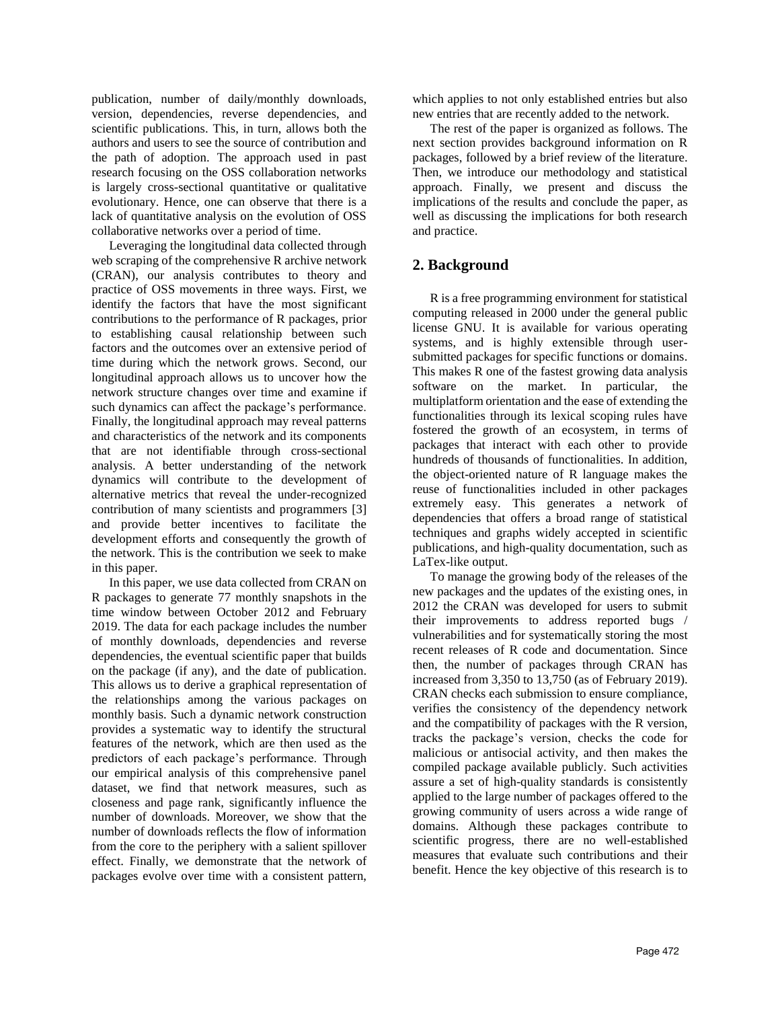publication, number of daily/monthly downloads, version, dependencies, reverse dependencies, and scientific publications. This, in turn, allows both the authors and users to see the source of contribution and the path of adoption. The approach used in past research focusing on the OSS collaboration networks is largely cross-sectional quantitative or qualitative evolutionary. Hence, one can observe that there is a lack of quantitative analysis on the evolution of OSS collaborative networks over a period of time.

Leveraging the longitudinal data collected through web scraping of the comprehensive R archive network (CRAN), our analysis contributes to theory and practice of OSS movements in three ways. First, we identify the factors that have the most significant contributions to the performance of R packages, prior to establishing causal relationship between such factors and the outcomes over an extensive period of time during which the network grows. Second, our longitudinal approach allows us to uncover how the network structure changes over time and examine if such dynamics can affect the package's performance. Finally, the longitudinal approach may reveal patterns and characteristics of the network and its components that are not identifiable through cross-sectional analysis. A better understanding of the network dynamics will contribute to the development of alternative metrics that reveal the under-recognized contribution of many scientists and programmers [3] and provide better incentives to facilitate the development efforts and consequently the growth of the network. This is the contribution we seek to make in this paper.

In this paper, we use data collected from CRAN on R packages to generate 77 monthly snapshots in the time window between October 2012 and February 2019. The data for each package includes the number of monthly downloads, dependencies and reverse dependencies, the eventual scientific paper that builds on the package (if any), and the date of publication. This allows us to derive a graphical representation of the relationships among the various packages on monthly basis. Such a dynamic network construction provides a systematic way to identify the structural features of the network, which are then used as the predictors of each package's performance. Through our empirical analysis of this comprehensive panel dataset, we find that network measures, such as closeness and page rank, significantly influence the number of downloads. Moreover, we show that the number of downloads reflects the flow of information from the core to the periphery with a salient spillover effect. Finally, we demonstrate that the network of packages evolve over time with a consistent pattern, which applies to not only established entries but also new entries that are recently added to the network.

The rest of the paper is organized as follows. The next section provides background information on R packages, followed by a brief review of the literature. Then, we introduce our methodology and statistical approach. Finally, we present and discuss the implications of the results and conclude the paper, as well as discussing the implications for both research and practice.

# **2. Background**

R is a free programming environment for statistical computing released in 2000 under the general public license GNU. It is available for various operating systems, and is highly extensible through usersubmitted packages for specific functions or domains. This makes R one of the fastest growing data analysis software on the market. In particular, the multiplatform orientation and the ease of extending the functionalities through its lexical scoping rules have fostered the growth of an ecosystem, in terms of packages that interact with each other to provide hundreds of thousands of functionalities. In addition, the object-oriented nature of R language makes the reuse of functionalities included in other packages extremely easy. This generates a network of dependencies that offers a broad range of statistical techniques and graphs widely accepted in scientific publications, and high-quality documentation, such as LaTex-like output.

To manage the growing body of the releases of the new packages and the updates of the existing ones, in 2012 the CRAN was developed for users to submit their improvements to address reported bugs / vulnerabilities and for systematically storing the most recent releases of R code and documentation. Since then, the number of packages through CRAN has increased from 3,350 to 13,750 (as of February 2019). CRAN checks each submission to ensure compliance, verifies the consistency of the dependency network and the compatibility of packages with the R version, tracks the package's version, checks the code for malicious or antisocial activity, and then makes the compiled package available publicly. Such activities assure a set of high-quality standards is consistently applied to the large number of packages offered to the growing community of users across a wide range of domains. Although these packages contribute to scientific progress, there are no well-established measures that evaluate such contributions and their benefit. Hence the key objective of this research is to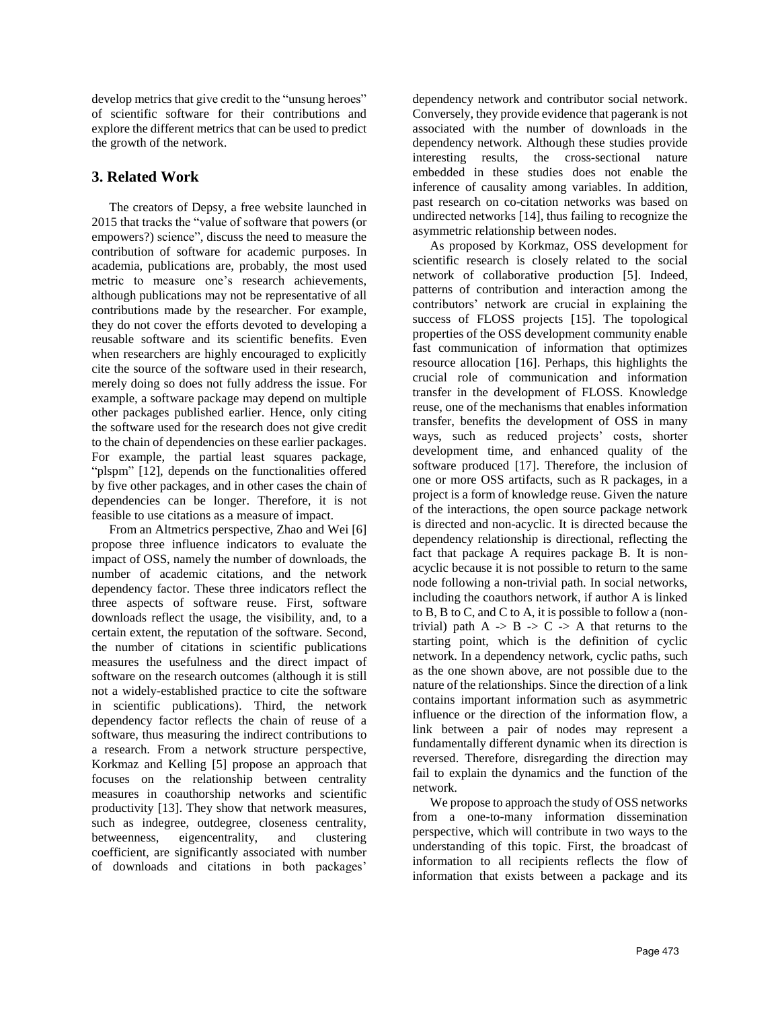develop metrics that give credit to the "unsung heroes" of scientific software for their contributions and explore the different metrics that can be used to predict the growth of the network.

# **3. Related Work**

The creators of Depsy, a free website launched in 2015 that tracks the "value of software that powers (or empowers?) science", discuss the need to measure the contribution of software for academic purposes. In academia, publications are, probably, the most used metric to measure one's research achievements, although publications may not be representative of all contributions made by the researcher. For example, they do not cover the efforts devoted to developing a reusable software and its scientific benefits. Even when researchers are highly encouraged to explicitly cite the source of the software used in their research, merely doing so does not fully address the issue. For example, a software package may depend on multiple other packages published earlier. Hence, only citing the software used for the research does not give credit to the chain of dependencies on these earlier packages. For example, the partial least squares package, "plspm" [12], depends on the functionalities offered by five other packages, and in other cases the chain of dependencies can be longer. Therefore, it is not feasible to use citations as a measure of impact.

From an Altmetrics perspective, Zhao and Wei [6] propose three influence indicators to evaluate the impact of OSS, namely the number of downloads, the number of academic citations, and the network dependency factor. These three indicators reflect the three aspects of software reuse. First, software downloads reflect the usage, the visibility, and, to a certain extent, the reputation of the software. Second, the number of citations in scientific publications measures the usefulness and the direct impact of software on the research outcomes (although it is still not a widely-established practice to cite the software in scientific publications). Third, the network dependency factor reflects the chain of reuse of a software, thus measuring the indirect contributions to a research. From a network structure perspective, Korkmaz and Kelling [5] propose an approach that focuses on the relationship between centrality measures in coauthorship networks and scientific productivity [13]. They show that network measures, such as indegree, outdegree, closeness centrality, betweenness, eigencentrality, and clustering coefficient, are significantly associated with number of downloads and citations in both packages'

dependency network and contributor social network. Conversely, they provide evidence that pagerank is not associated with the number of downloads in the dependency network. Although these studies provide interesting results, the cross-sectional nature embedded in these studies does not enable the inference of causality among variables. In addition, past research on co-citation networks was based on undirected networks [14], thus failing to recognize the asymmetric relationship between nodes.

As proposed by Korkmaz, OSS development for scientific research is closely related to the social network of collaborative production [5]. Indeed, patterns of contribution and interaction among the contributors' network are crucial in explaining the success of FLOSS projects [15]. The topological properties of the OSS development community enable fast communication of information that optimizes resource allocation [16]. Perhaps, this highlights the crucial role of communication and information transfer in the development of FLOSS. Knowledge reuse, one of the mechanisms that enables information transfer, benefits the development of OSS in many ways, such as reduced projects' costs, shorter development time, and enhanced quality of the software produced [17]. Therefore, the inclusion of one or more OSS artifacts, such as R packages, in a project is a form of knowledge reuse. Given the nature of the interactions, the open source package network is directed and non-acyclic. It is directed because the dependency relationship is directional, reflecting the fact that package A requires package B. It is nonacyclic because it is not possible to return to the same node following a non-trivial path. In social networks, including the coauthors network, if author A is linked to B, B to C, and C to A, it is possible to follow a (nontrivial) path  $A \rightarrow B \rightarrow C \rightarrow A$  that returns to the starting point, which is the definition of cyclic network. In a dependency network, cyclic paths, such as the one shown above, are not possible due to the nature of the relationships. Since the direction of a link contains important information such as asymmetric influence or the direction of the information flow, a link between a pair of nodes may represent a fundamentally different dynamic when its direction is reversed. Therefore, disregarding the direction may fail to explain the dynamics and the function of the network.

We propose to approach the study of OSS networks from a one-to-many information dissemination perspective, which will contribute in two ways to the understanding of this topic. First, the broadcast of information to all recipients reflects the flow of information that exists between a package and its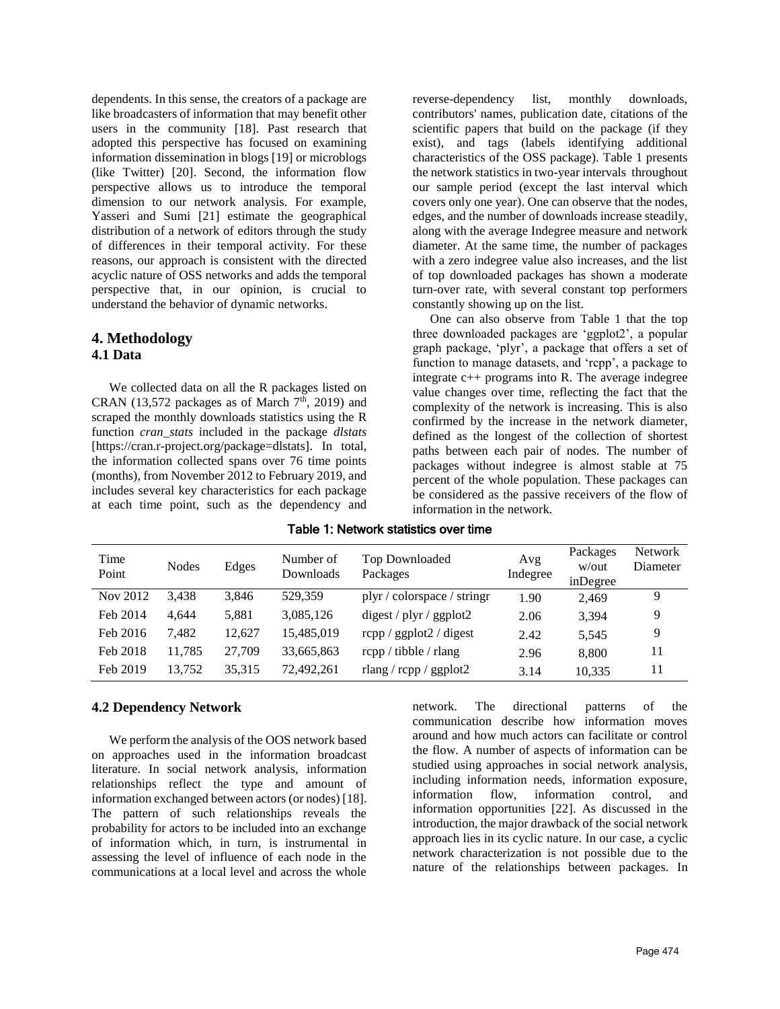dependents. In this sense, the creators of a package are like broadcasters of information that may benefit other users in the community [18]. Past research that adopted this perspective has focused on examining information dissemination in blogs [19] or microblogs (like Twitter) [20]. Second, the information flow perspective allows us to introduce the temporal dimension to our network analysis. For example, Yasseri and Sumi [21] estimate the geographical distribution of a network of editors through the study of differences in their temporal activity. For these reasons, our approach is consistent with the directed acyclic nature of OSS networks and adds the temporal perspective that, in our opinion, is crucial to understand the behavior of dynamic networks.

### **4. Methodology 4.1 Data**

We collected data on all the R packages listed on CRAN (13,572 packages as of March  $7<sup>th</sup>$ , 2019) and scraped the monthly downloads statistics using the R function *cran\_stats* included in the package *dlstats* [https://cran.r-project.org/package=dlstats]. In total, the information collected spans over 76 time points (months), from November 2012 to February 2019, and includes several key characteristics for each package at each time point, such as the dependency and reverse-dependency list, monthly downloads, contributors' names, publication date, citations of the scientific papers that build on the package (if they exist), and tags (labels identifying additional characteristics of the OSS package). Table 1 presents the network statistics in two-year intervals throughout our sample period (except the last interval which covers only one year). One can observe that the nodes, edges, and the number of downloads increase steadily, along with the average Indegree measure and network diameter. At the same time, the number of packages with a zero indegree value also increases, and the list of top downloaded packages has shown a moderate turn-over rate, with several constant top performers constantly showing up on the list.

One can also observe from Table 1 that the top three downloaded packages are 'ggplot2', a popular graph package, 'plyr', a package that offers a set of function to manage datasets, and 'rcpp', a package to integrate c++ programs into R. The average indegree value changes over time, reflecting the fact that the complexity of the network is increasing. This is also confirmed by the increase in the network diameter, defined as the longest of the collection of shortest paths between each pair of nodes. The number of packages without indegree is almost stable at 75 percent of the whole population. These packages can be considered as the passive receivers of the flow of information in the network.

| Time<br>Point | <b>Nodes</b> | Edges  | Number of<br>Downloads | Top Downloaded<br>Packages            | Avg<br>Indegree | Packages<br>w/out<br>inDegree | <b>Network</b><br>Diameter |
|---------------|--------------|--------|------------------------|---------------------------------------|-----------------|-------------------------------|----------------------------|
| Nov 2012      | 3.438        | 3,846  | 529.359                | plyr / colorspace / stringr           | 1.90            | 2.469                         | 9                          |
| Feb 2014      | 4.644        | 5,881  | 3,085,126              | $\frac{1}{2}$ digest / plyr / ggplot2 | 2.06            | 3.394                         | 9                          |
| Feb 2016      | 7.482        | 12.627 | 15,485,019             | $r$ cpp / ggplot $2$ / digest         | 2.42            | 5.545                         | 9                          |
| Feb 2018      | 11.785       | 27.709 | 33,665,863             | $r$ cpp / tibble / rlang              | 2.96            | 8.800                         | 11                         |
| Feb 2019      | 13,752       | 35,315 | 72.492.261             | rlang / $r$ cpp / ggplot2             | 3.14            | 10,335                        | 11                         |

Table 1: Network statistics over time

### **4.2 Dependency Network**

We perform the analysis of the OOS network based on approaches used in the information broadcast literature. In social network analysis, information relationships reflect the type and amount of information exchanged between actors (or nodes) [18]. The pattern of such relationships reveals the probability for actors to be included into an exchange of information which, in turn, is instrumental in assessing the level of influence of each node in the communications at a local level and across the whole

network. The directional patterns of the communication describe how information moves around and how much actors can facilitate or control the flow. A number of aspects of information can be studied using approaches in social network analysis, including information needs, information exposure, information flow, information control, and information opportunities [22]. As discussed in the introduction, the major drawback of the social network approach lies in its cyclic nature. In our case, a cyclic network characterization is not possible due to the nature of the relationships between packages. In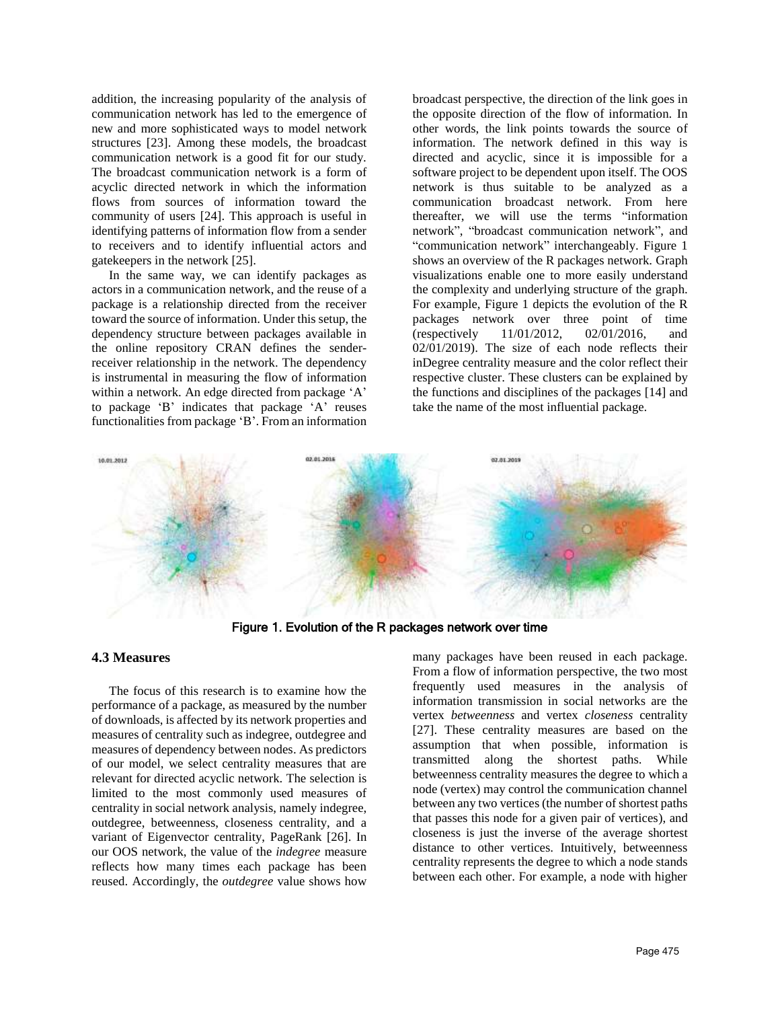addition, the increasing popularity of the analysis of communication network has led to the emergence of new and more sophisticated ways to model network structures [23]. Among these models, the broadcast communication network is a good fit for our study. The broadcast communication network is a form of acyclic directed network in which the information flows from sources of information toward the community of users [24]. This approach is useful in identifying patterns of information flow from a sender to receivers and to identify influential actors and gatekeepers in the network [25].

In the same way, we can identify packages as actors in a communication network, and the reuse of a package is a relationship directed from the receiver toward the source of information. Under this setup, the dependency structure between packages available in the online repository CRAN defines the senderreceiver relationship in the network. The dependency is instrumental in measuring the flow of information within a network. An edge directed from package 'A' to package 'B' indicates that package 'A' reuses functionalities from package 'B'. From an information

broadcast perspective, the direction of the link goes in the opposite direction of the flow of information. In other words, the link points towards the source of information. The network defined in this way is directed and acyclic, since it is impossible for a software project to be dependent upon itself. The OOS network is thus suitable to be analyzed as a communication broadcast network. From here thereafter, we will use the terms "information network", "broadcast communication network", and "communication network" interchangeably. Figure 1 shows an overview of the R packages network. Graph visualizations enable one to more easily understand the complexity and underlying structure of the graph. For example, Figure 1 depicts the evolution of the R packages network over three point of time (respectively 11/01/2012, 02/01/2016, and 02/01/2019). The size of each node reflects their inDegree centrality measure and the color reflect their respective cluster. These clusters can be explained by the functions and disciplines of the packages [14] and take the name of the most influential package.



Figure 1. Evolution of the R packages network over time

#### **4.3 Measures**

The focus of this research is to examine how the performance of a package, as measured by the number of downloads, is affected by its network properties and measures of centrality such as indegree, outdegree and measures of dependency between nodes. As predictors of our model, we select centrality measures that are relevant for directed acyclic network. The selection is limited to the most commonly used measures of centrality in social network analysis, namely indegree, outdegree, betweenness, closeness centrality, and a variant of Eigenvector centrality, PageRank [26]. In our OOS network, the value of the *indegree* measure reflects how many times each package has been reused. Accordingly, the *outdegree* value shows how

many packages have been reused in each package. From a flow of information perspective, the two most frequently used measures in the analysis of information transmission in social networks are the vertex *betweenness* and vertex *closeness* centrality [27]. These centrality measures are based on the assumption that when possible, information is transmitted along the shortest paths. While betweenness centrality measures the degree to which a node (vertex) may control the communication channel between any two vertices(the number of shortest paths that passes this node for a given pair of vertices), and closeness is just the inverse of the average shortest distance to other vertices. Intuitively, betweenness centrality represents the degree to which a node stands between each other. For example, a node with higher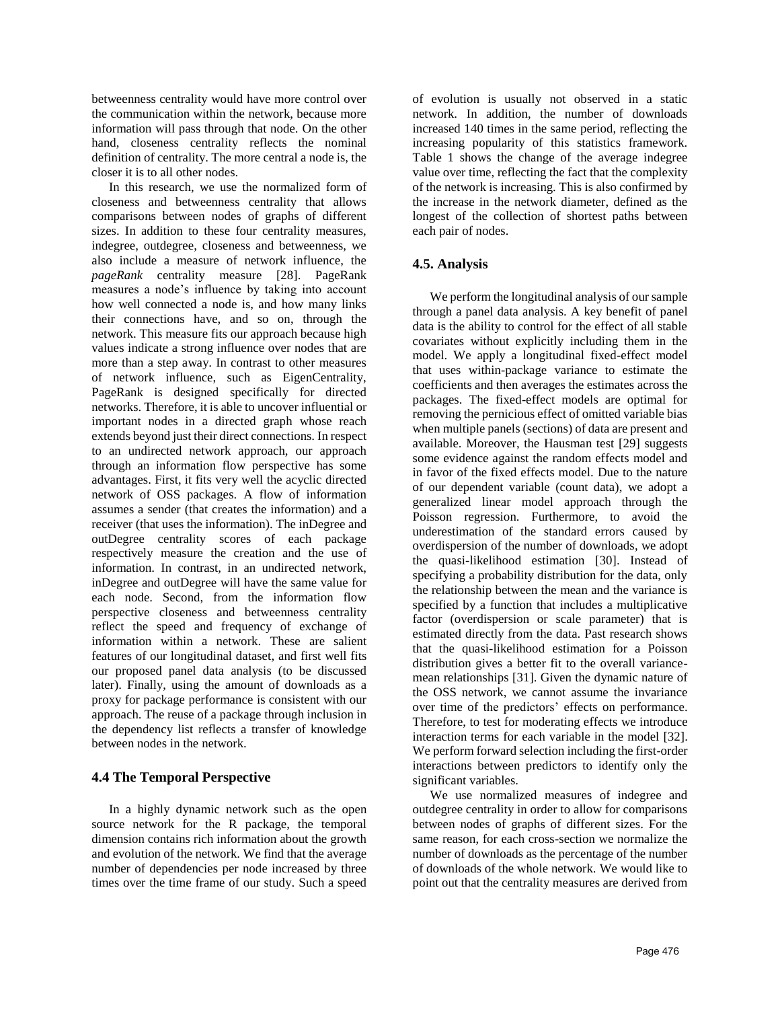betweenness centrality would have more control over the communication within the network, because more information will pass through that node. On the other hand, closeness centrality reflects the nominal definition of centrality. The more central a node is, the closer it is to all other nodes.

In this research, we use the normalized form of closeness and betweenness centrality that allows comparisons between nodes of graphs of different sizes. In addition to these four centrality measures, indegree, outdegree, closeness and betweenness, we also include a measure of network influence, the *pageRank* centrality measure [28]. PageRank measures a node's influence by taking into account how well connected a node is, and how many links their connections have, and so on, through the network. This measure fits our approach because high values indicate a strong influence over nodes that are more than a step away. In contrast to other measures of network influence, such as EigenCentrality, PageRank is designed specifically for directed networks. Therefore, it is able to uncover influential or important nodes in a directed graph whose reach extends beyond just their direct connections. In respect to an undirected network approach, our approach through an information flow perspective has some advantages. First, it fits very well the acyclic directed network of OSS packages. A flow of information assumes a sender (that creates the information) and a receiver (that uses the information). The inDegree and outDegree centrality scores of each package respectively measure the creation and the use of information. In contrast, in an undirected network, inDegree and outDegree will have the same value for each node. Second, from the information flow perspective closeness and betweenness centrality reflect the speed and frequency of exchange of information within a network. These are salient features of our longitudinal dataset, and first well fits our proposed panel data analysis (to be discussed later). Finally, using the amount of downloads as a proxy for package performance is consistent with our approach. The reuse of a package through inclusion in the dependency list reflects a transfer of knowledge between nodes in the network.

### **4.4 The Temporal Perspective**

In a highly dynamic network such as the open source network for the R package, the temporal dimension contains rich information about the growth and evolution of the network. We find that the average number of dependencies per node increased by three times over the time frame of our study. Such a speed of evolution is usually not observed in a static network. In addition, the number of downloads increased 140 times in the same period, reflecting the increasing popularity of this statistics framework. Table 1 shows the change of the average indegree value over time, reflecting the fact that the complexity of the network is increasing. This is also confirmed by the increase in the network diameter, defined as the longest of the collection of shortest paths between each pair of nodes.

# **4.5. Analysis**

We perform the longitudinal analysis of our sample through a panel data analysis. A key benefit of panel data is the ability to control for the effect of all stable covariates without explicitly including them in the model. We apply a longitudinal fixed-effect model that uses within-package variance to estimate the coefficients and then averages the estimates across the packages. The fixed-effect models are optimal for removing the pernicious effect of omitted variable bias when multiple panels (sections) of data are present and available. Moreover, the Hausman test [29] suggests some evidence against the random effects model and in favor of the fixed effects model. Due to the nature of our dependent variable (count data), we adopt a generalized linear model approach through the Poisson regression. Furthermore, to avoid the underestimation of the standard errors caused by overdispersion of the number of downloads, we adopt the quasi-likelihood estimation [30]. Instead of specifying a probability distribution for the data, only the relationship between the mean and the variance is specified by a function that includes a multiplicative factor (overdispersion or scale parameter) that is estimated directly from the data. Past research shows that the quasi-likelihood estimation for a Poisson distribution gives a better fit to the overall variancemean relationships [31]. Given the dynamic nature of the OSS network, we cannot assume the invariance over time of the predictors' effects on performance. Therefore, to test for moderating effects we introduce interaction terms for each variable in the model [32]. We perform forward selection including the first-order interactions between predictors to identify only the significant variables.

We use normalized measures of indegree and outdegree centrality in order to allow for comparisons between nodes of graphs of different sizes. For the same reason, for each cross-section we normalize the number of downloads as the percentage of the number of downloads of the whole network. We would like to point out that the centrality measures are derived from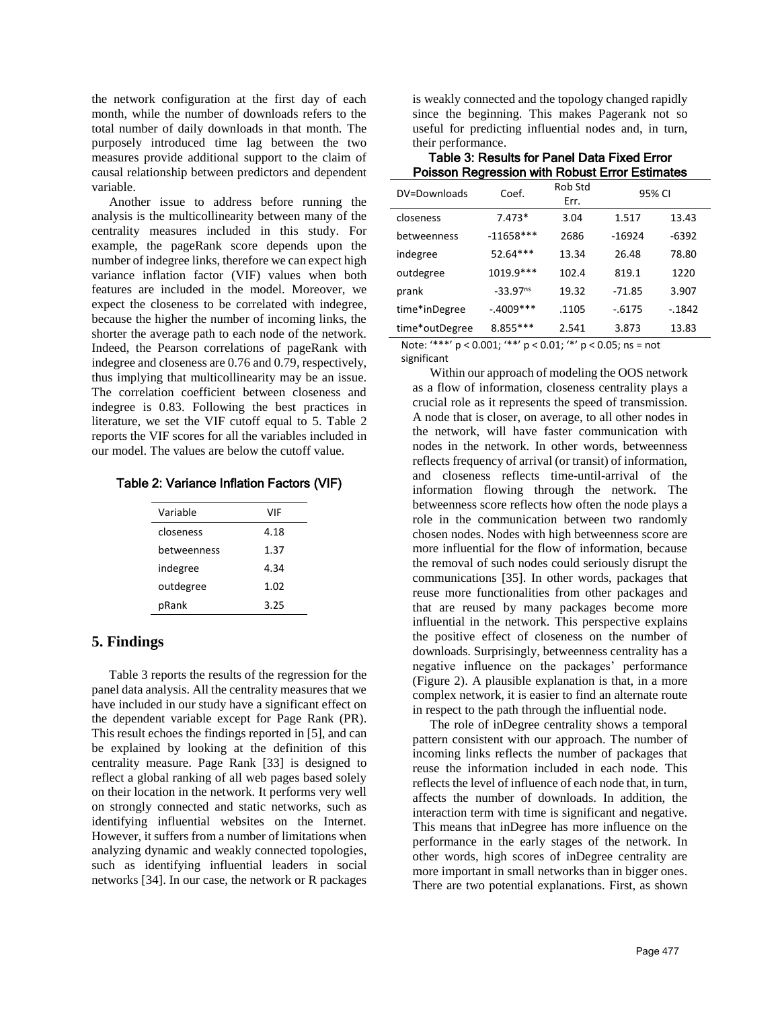the network configuration at the first day of each month, while the number of downloads refers to the total number of daily downloads in that month. The purposely introduced time lag between the two measures provide additional support to the claim of causal relationship between predictors and dependent variable.

Another issue to address before running the analysis is the multicollinearity between many of the centrality measures included in this study. For example, the pageRank score depends upon the number of indegree links, therefore we can expect high variance inflation factor (VIF) values when both features are included in the model. Moreover, we expect the closeness to be correlated with indegree, because the higher the number of incoming links, the shorter the average path to each node of the network. Indeed, the Pearson correlations of pageRank with indegree and closeness are 0.76 and 0.79, respectively, thus implying that multicollinearity may be an issue. The correlation coefficient between closeness and indegree is 0.83. Following the best practices in literature, we set the VIF cutoff equal to 5. Table 2 reports the VIF scores for all the variables included in our model. The values are below the cutoff value.

#### Table 2: Variance Inflation Factors (VIF)

| Variable    | VIF  |
|-------------|------|
| closeness   | 4.18 |
| hetweenness | 1.37 |
| indegree    | 4.34 |
| outdegree   | 1.02 |
| pRank       | 3.25 |

## **5. Findings**

Table 3 reports the results of the regression for the panel data analysis. All the centrality measures that we have included in our study have a significant effect on the dependent variable except for Page Rank (PR). This result echoes the findings reported in [5], and can be explained by looking at the definition of this centrality measure. Page Rank [33] is designed to reflect a global ranking of all web pages based solely on their location in the network. It performs very well on strongly connected and static networks, such as identifying influential websites on the Internet. However, it suffers from a number of limitations when analyzing dynamic and weakly connected topologies, such as identifying influential leaders in social networks [34]. In our case, the network or R packages is weakly connected and the topology changed rapidly since the beginning. This makes Pagerank not so useful for predicting influential nodes and, in turn, their performance.

| Table 3: Results for Panel Data Fixed Error           |
|-------------------------------------------------------|
| <b>Poisson Regression with Robust Error Estimates</b> |

| DV=Downloads   | Coef.                  | Rob Std<br>Err. | 95% CI   |          |
|----------------|------------------------|-----------------|----------|----------|
| closeness      | $7.473*$               | 3.04            | 1.517    | 13.43    |
| betweenness    | $-11658***$            | 2686            | $-16924$ | -6392    |
| indegree       | 52.64***               | 13.34           | 26.48    | 78.80    |
| outdegree      | 1019.9***              | 102.4           | 819.1    | 1220     |
| prank          | $-33.97$ <sup>ns</sup> | 19.32           | $-71.85$ | 3.907    |
| time*inDegree  | $-.4009***$            | .1105           | $-6175$  | $-.1842$ |
| time*outDegree | 8.855 ***              | 2.541           | 3.873    | 13.83    |

Note: '\*\*\*' p < 0.001; '\*\*' p < 0.01; '\*' p < 0.05; ns = not significant

Within our approach of modeling the OOS network as a flow of information, closeness centrality plays a crucial role as it represents the speed of transmission. A node that is closer, on average, to all other nodes in the network, will have faster communication with nodes in the network. In other words, betweenness reflects frequency of arrival (or transit) of information, and closeness reflects time-until-arrival of the information flowing through the network. The betweenness score reflects how often the node plays a role in the communication between two randomly chosen nodes. Nodes with high betweenness score are more influential for the flow of information, because the removal of such nodes could seriously disrupt the communications [35]. In other words, packages that reuse more functionalities from other packages and that are reused by many packages become more influential in the network. This perspective explains the positive effect of closeness on the number of downloads. Surprisingly, betweenness centrality has a negative influence on the packages' performance (Figure 2). A plausible explanation is that, in a more complex network, it is easier to find an alternate route in respect to the path through the influential node.

The role of inDegree centrality shows a temporal pattern consistent with our approach. The number of incoming links reflects the number of packages that reuse the information included in each node. This reflects the level of influence of each node that, in turn, affects the number of downloads. In addition, the interaction term with time is significant and negative. This means that inDegree has more influence on the performance in the early stages of the network. In other words, high scores of inDegree centrality are more important in small networks than in bigger ones. There are two potential explanations. First, as shown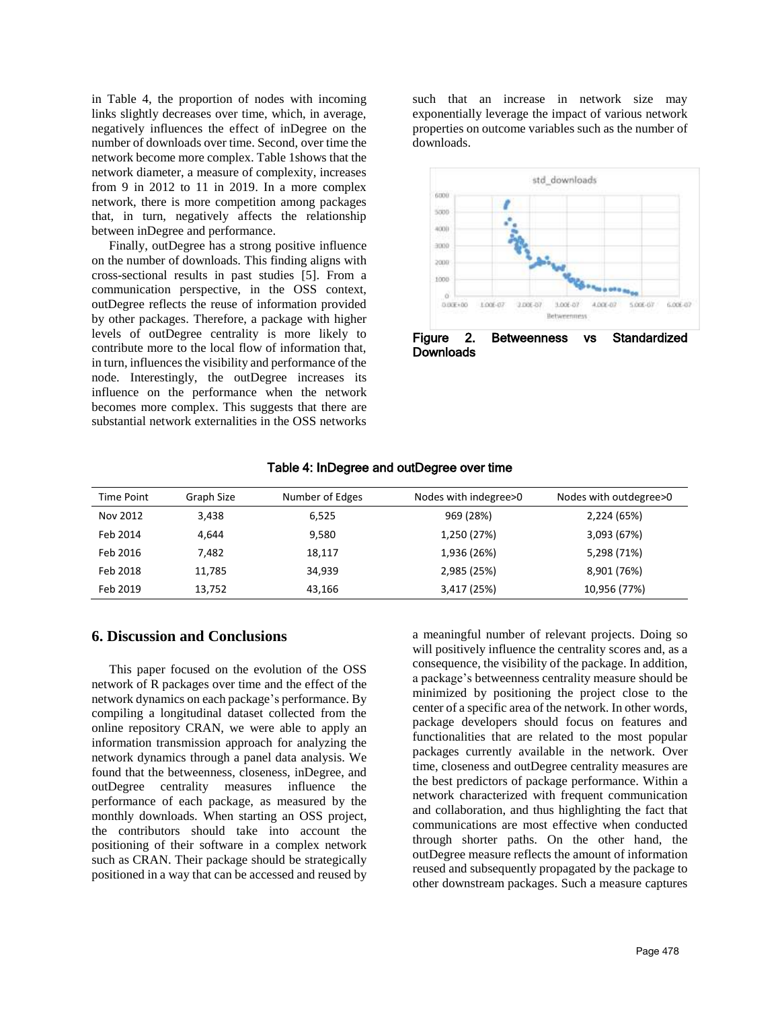in Table 4, the proportion of nodes with incoming links slightly decreases over time, which, in average, negatively influences the effect of inDegree on the number of downloads over time. Second, over time the network become more complex. Table 1shows that the network diameter, a measure of complexity, increases from 9 in 2012 to 11 in 2019. In a more complex network, there is more competition among packages that, in turn, negatively affects the relationship between inDegree and performance.

Finally, outDegree has a strong positive influence on the number of downloads. This finding aligns with cross-sectional results in past studies [5]. From a communication perspective, in the OSS context, outDegree reflects the reuse of information provided by other packages. Therefore, a package with higher levels of outDegree centrality is more likely to contribute more to the local flow of information that, in turn, influences the visibility and performance of the node. Interestingly, the outDegree increases its influence on the performance when the network becomes more complex. This suggests that there are substantial network externalities in the OSS networks such that an increase in network size may exponentially leverage the impact of various network properties on outcome variables such as the number of downloads.



**Downloads** 

| <b>Time Point</b> | Graph Size | Number of Edges | Nodes with indegree>0 | Nodes with outdegree>0 |
|-------------------|------------|-----------------|-----------------------|------------------------|
| Nov 2012          | 3,438      | 6,525           | 969 (28%)             | 2,224 (65%)            |
| Feb 2014          | 4,644      | 9,580           | 1,250 (27%)           | 3,093 (67%)            |
| Feb 2016          | 7,482      | 18,117          | 1,936 (26%)           | 5,298 (71%)            |
| Feb 2018          | 11,785     | 34.939          | 2,985 (25%)           | 8,901 (76%)            |
| Feb 2019          | 13,752     | 43,166          | 3,417 (25%)           | 10,956 (77%)           |

### Table 4: InDegree and outDegree over time

### **6. Discussion and Conclusions**

This paper focused on the evolution of the OSS network of R packages over time and the effect of the network dynamics on each package's performance. By compiling a longitudinal dataset collected from the online repository CRAN, we were able to apply an information transmission approach for analyzing the network dynamics through a panel data analysis. We found that the betweenness, closeness, inDegree, and outDegree centrality measures influence the performance of each package, as measured by the monthly downloads. When starting an OSS project, the contributors should take into account the positioning of their software in a complex network such as CRAN. Their package should be strategically positioned in a way that can be accessed and reused by a meaningful number of relevant projects. Doing so will positively influence the centrality scores and, as a consequence, the visibility of the package. In addition, a package's betweenness centrality measure should be minimized by positioning the project close to the center of a specific area of the network. In other words, package developers should focus on features and functionalities that are related to the most popular packages currently available in the network. Over time, closeness and outDegree centrality measures are the best predictors of package performance. Within a network characterized with frequent communication and collaboration, and thus highlighting the fact that communications are most effective when conducted through shorter paths. On the other hand, the outDegree measure reflects the amount of information reused and subsequently propagated by the package to other downstream packages. Such a measure captures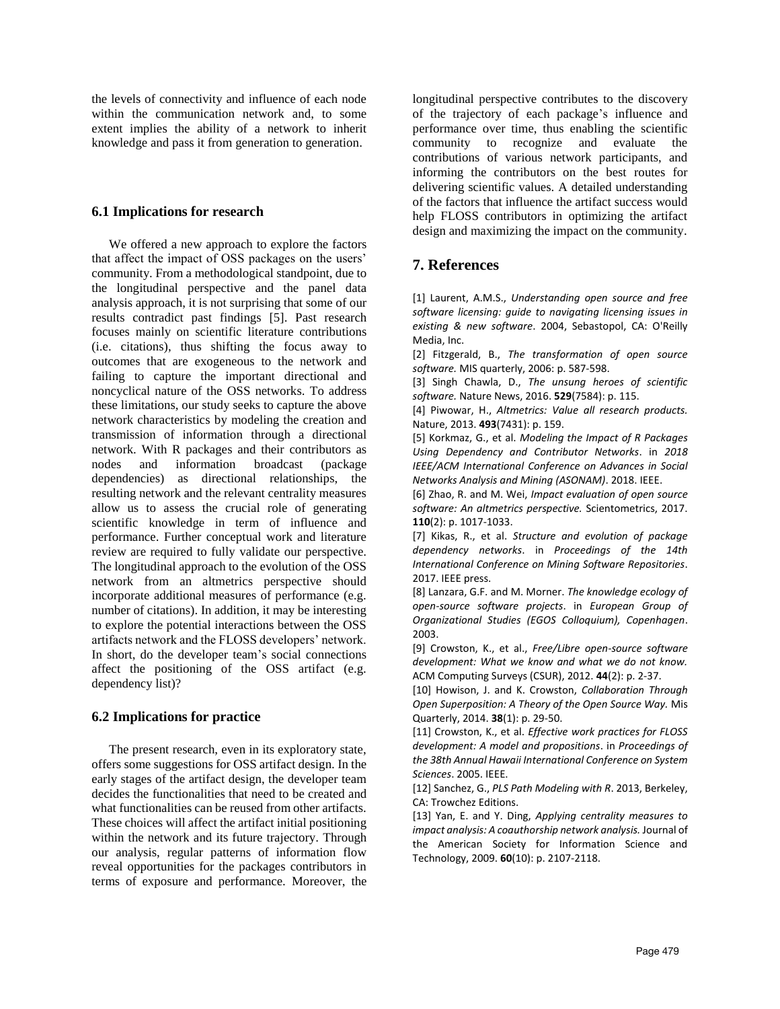the levels of connectivity and influence of each node within the communication network and, to some extent implies the ability of a network to inherit knowledge and pass it from generation to generation.

#### **6.1 Implications for research**

We offered a new approach to explore the factors that affect the impact of OSS packages on the users' community. From a methodological standpoint, due to the longitudinal perspective and the panel data analysis approach, it is not surprising that some of our results contradict past findings [5]. Past research focuses mainly on scientific literature contributions (i.e. citations), thus shifting the focus away to outcomes that are exogeneous to the network and failing to capture the important directional and noncyclical nature of the OSS networks. To address these limitations, our study seeks to capture the above network characteristics by modeling the creation and transmission of information through a directional network. With R packages and their contributors as nodes and information broadcast (package dependencies) as directional relationships, the resulting network and the relevant centrality measures allow us to assess the crucial role of generating scientific knowledge in term of influence and performance. Further conceptual work and literature review are required to fully validate our perspective. The longitudinal approach to the evolution of the OSS network from an altmetrics perspective should incorporate additional measures of performance (e.g. number of citations). In addition, it may be interesting to explore the potential interactions between the OSS artifacts network and the FLOSS developers' network. In short, do the developer team's social connections affect the positioning of the OSS artifact (e.g. dependency list)?

#### **6.2 Implications for practice**

The present research, even in its exploratory state, offers some suggestions for OSS artifact design. In the early stages of the artifact design, the developer team decides the functionalities that need to be created and what functionalities can be reused from other artifacts. These choices will affect the artifact initial positioning within the network and its future trajectory. Through our analysis, regular patterns of information flow reveal opportunities for the packages contributors in terms of exposure and performance. Moreover, the longitudinal perspective contributes to the discovery of the trajectory of each package's influence and performance over time, thus enabling the scientific community to recognize and evaluate the contributions of various network participants, and informing the contributors on the best routes for delivering scientific values. A detailed understanding of the factors that influence the artifact success would help FLOSS contributors in optimizing the artifact design and maximizing the impact on the community.

# **7. References**

[1] Laurent, A.M.S., *Understanding open source and free software licensing: guide to navigating licensing issues in existing & new software*. 2004, Sebastopol, CA: O'Reilly Media, Inc.

[2] Fitzgerald, B., *The transformation of open source software.* MIS quarterly, 2006: p. 587-598.

[3] Singh Chawla, D., *The unsung heroes of scientific software.* Nature News, 2016. **529**(7584): p. 115.

[4] Piwowar, H., *Altmetrics: Value all research products.* Nature, 2013. **493**(7431): p. 159.

[5] Korkmaz, G., et al. *Modeling the Impact of R Packages Using Dependency and Contributor Networks*. in *2018 IEEE/ACM International Conference on Advances in Social Networks Analysis and Mining (ASONAM)*. 2018. IEEE.

[6] Zhao, R. and M. Wei, *Impact evaluation of open source software: An altmetrics perspective.* Scientometrics, 2017. **110**(2): p. 1017-1033.

[7] Kikas, R., et al. *Structure and evolution of package dependency networks*. in *Proceedings of the 14th International Conference on Mining Software Repositories*. 2017. IEEE press.

[8] Lanzara, G.F. and M. Morner. *The knowledge ecology of open-source software projects*. in *European Group of Organizational Studies (EGOS Colloquium), Copenhagen*. 2003.

[9] Crowston, K., et al., *Free/Libre open-source software development: What we know and what we do not know.* ACM Computing Surveys (CSUR), 2012. **44**(2): p. 2-37.

[10] Howison, J. and K. Crowston, *Collaboration Through Open Superposition: A Theory of the Open Source Way.* Mis Quarterly, 2014. **38**(1): p. 29-50.

[11] Crowston, K., et al. *Effective work practices for FLOSS development: A model and propositions*. in *Proceedings of the 38th Annual Hawaii International Conference on System Sciences*. 2005. IEEE.

[12] Sanchez, G., *PLS Path Modeling with R*. 2013, Berkeley, CA: Trowchez Editions.

[13] Yan, E. and Y. Ding, *Applying centrality measures to impact analysis: A coauthorship network analysis.* Journal of the American Society for Information Science and Technology, 2009. **60**(10): p. 2107-2118.